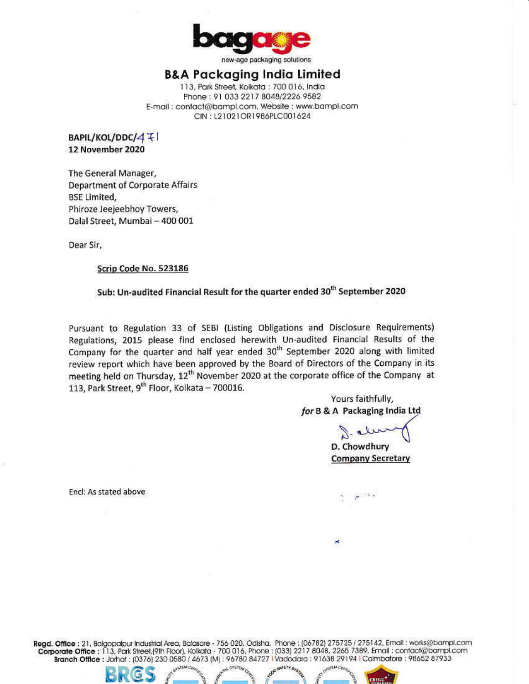

new-age packaging solutions

## B&A Packaging India Limited

113, Park Street, Kolkata : 700 016, India Phone: 91 033 2217 8048/2226 9582 E-mail: contact@bampl.com, Website: www.bampl.com CIN: L21021OR1986PLC001624

BAPIL/KOL/DDC/4 + 12 November 2020

The General Manager, **Department of Corporate Affairs BSE Limited,** Phiroze Jeejeebhoy Towers, Dalal Street, Mumbai - 400 001

Dear Sir,

### Scrip Code No. 523186

## Sub: Un-audited Financial Result for the quarter ended 30<sup>th</sup> September 2020

Pursuant to Regulation 33 of SEBI (Listing Obligations and Disclosure Requirements) Regulations, 2015 please find enclosed herewith Un-audited Financial Results of the Company for the quarter and half year ended 30<sup>th</sup> September 2020 along with limited review report which have been approved by the Board of Directors of the Company in its meeting held on Thursday, 12<sup>th</sup> November 2020 at the corporate office of the Company at 113, Park Street, 9<sup>th</sup> Floor, Kolkata - 700016.

> Yours faithfully, for B & A Packaging India Ltd

D. Chowdhury **Company Secretary** 

Encl: As stated above

Regd. Office : 21, Balgopalpur Industrial Area, Balasore - 756 020, Odisha, Phone : (06782) 275725 / 275142, Email : works@bampl.com Corporate Office : 113, Park Street, (9th Floor), Kolkata - 700 016, Phone : (033) 2217 8048, 2265 7389, Email : contact@bampl.com<br>Branch Office : Jorhat : (0376) 230 0580 / 4673 [M] : 96780 84727 I Vadodara : 91638 29194

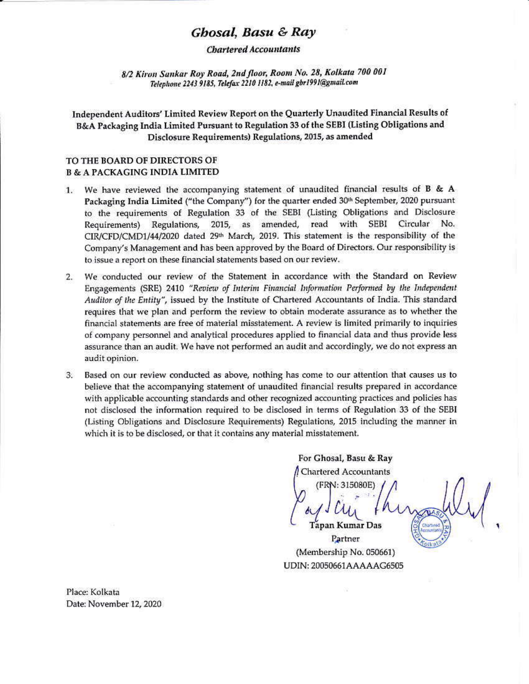# Ghosal, Basu & Ray

### **Chartered Accountants**

8/2 Kiron Sankar Roy Road, 2nd floor, Room No. 28, Kolkata 700 001 Telephone 2243 9185, Telefax 2210 1182, e-mail gbr1991@gmail.com

Independent Auditors' Limited Review Report on the Quarterly Unaudited Financial Results of B&A Packaging India Limited Pursuant to Regulation 33 of the SEBI (Listing Obligations and Disclosure Requirements) Regulations, 2015, as amended

## TO THE BOARD OF DIRECTORS OF **B & A PACKAGING INDIA LIMITED**

- We have reviewed the accompanying statement of unaudited financial results of  $B$  & A 1. Packaging India Limited ("the Company") for the quarter ended 30<sup>th</sup> September, 2020 pursuant to the requirements of Regulation 33 of the SEBI (Listing Obligations and Disclosure Requirements) Regulations, 2015, as amended, read with SEBI Circular No. CIR/CFD/CMD1/44/2020 dated 29<sup>th</sup> March, 2019. This statement is the responsibility of the Company's Management and has been approved by the Board of Directors. Our responsibility is to issue a report on these financial statements based on our review.
- We conducted our review of the Statement in accordance with the Standard on Review 2. Engagements (SRE) 2410 "Review of Interim Financial Information Performed by the Independent Auditor of the Entity", issued by the Institute of Chartered Accountants of India. This standard requires that we plan and perform the review to obtain moderate assurance as to whether the financial statements are free of material misstatement. A review is limited primarily to inquiries of company personnel and analytical procedures applied to financial data and thus provide less assurance than an audit. We have not performed an audit and accordingly, we do not express an audit opinion.
- Based on our review conducted as above, nothing has come to our attention that causes us to 3. believe that the accompanying statement of unaudited financial results prepared in accordance with applicable accounting standards and other recognized accounting practices and policies has not disclosed the information required to be disclosed in terms of Regulation 33 of the SEBI (Listing Obligations and Disclosure Requirements) Regulations, 2015 including the manner in which it is to be disclosed, or that it contains any material misstatement.

For Ghosal, Basu & Ray **Chartered Accountants** (FRN: 315080E)

**Tapan Kumar Das** Partner (Membership No. 050661) UDIN: 20050661AAAAAG6505

Place: Kolkata Date: November 12, 2020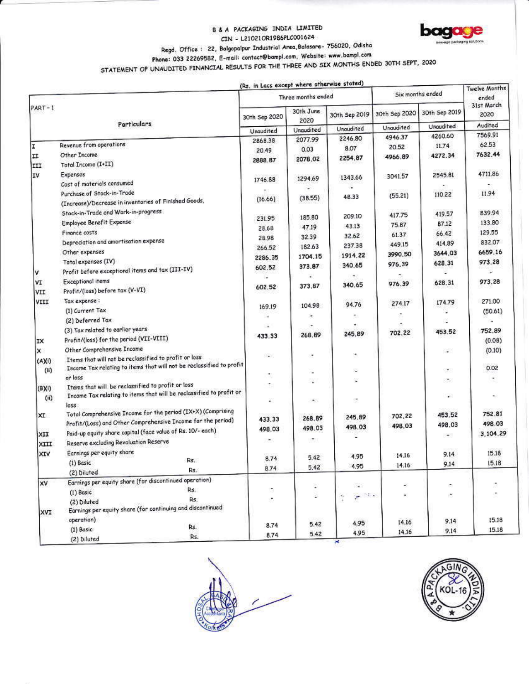### **B & A PACKAGING INDIA LIMITED** CIN - L210210R1986PLC001624



# Regd. Office: 22, Balgopalpur Industrial Area,Balasare- 756020, Odisha

Phone: 033 22269582, E-mail: contact@bampl.com, Website: www.bampl.com

STATEMENT OF UNAUDITED FINANCIAL RESULTS FOR THE THREE AND SIX MONTHS ENDED 30TH SEPT, 2020

|          |                                                                                                                          | (Rs. in Lacs except where otherwise stated) |                          |                                 |                  |                | <b>Twelve Months</b> |
|----------|--------------------------------------------------------------------------------------------------------------------------|---------------------------------------------|--------------------------|---------------------------------|------------------|----------------|----------------------|
|          |                                                                                                                          | Three months ended                          |                          |                                 | Six months ended |                | ended                |
| $PART-1$ | Particulars                                                                                                              | 30th Sep 2020                               | 30th June<br>2020        | 30th Sep 2019                   | 30th Sep 2020    | 30th Sep 2019  | 31st March<br>2020   |
|          |                                                                                                                          | Unaudited                                   | <b>Unaudited</b>         | Unaudited                       | Unaudited        | Unaudited      | Audited              |
|          |                                                                                                                          | 2868.38                                     | 2077.99                  | 2246.80                         | 4946.37          | 4260.60        | 7569.91              |
| ΙI       | Revenue from operations                                                                                                  | 20.49                                       | 0.03                     | 8.07                            | 20.52            | 11.74          | 62.53                |
| II       | Other Income                                                                                                             | 2888.87                                     | 2078.02                  | 2254.87                         | 4966.89          | 4272.34        | 7632.44              |
| III      | Total Income (I+II)                                                                                                      |                                             |                          |                                 |                  |                |                      |
| IV       | Expenses                                                                                                                 | 1746.88                                     | 1294.69                  | 1343.66                         | 3041.57          | 2545.81        | 4711.86              |
|          | Cost of materials consumed                                                                                               |                                             |                          |                                 |                  |                |                      |
|          | Purchase of Stock-in-Trade<br>(Increase)/Decrease in inventories of Finished Goods,                                      | (16.66)                                     | (38.55)                  | 48.33                           | (55.21)          | 110.22         | 11.94                |
|          | Stock-in-Trade and Work-in-progress                                                                                      |                                             |                          |                                 |                  |                |                      |
|          |                                                                                                                          | 231.95                                      | 185.80                   | 209.10                          | 417.75           | 419.57         | 839.94               |
|          | Employee Benefit Expense                                                                                                 | 28.68                                       | 47.19                    | 43.13                           | 75.87            | 87.12          | 133.80               |
|          | Finance costs                                                                                                            | 28.98                                       | 32.39                    | 32.62                           | 61.37            | 66.42          | 129.55               |
|          | Depreciation and amortisation expense                                                                                    | 266.52                                      | 182.63                   | 237.38                          | 449.15           | 414.89         | 832.07               |
|          | Other expenses                                                                                                           | 2286.35                                     | 1704.15                  | 1914.22                         | 3990.50          | 3644.03        | 6659.16              |
|          | Total expenses (IV)                                                                                                      | 602.52                                      | 373.87                   | 340.65                          | 976.39           | 628.31         | 973.28               |
| ٧        | Profit before exceptional items and tax (III-IV)                                                                         |                                             |                          |                                 |                  |                |                      |
| VI       | <b>Exceptional items</b>                                                                                                 | 602.52                                      | 373.87                   | 340.65                          | 976.39           | 628.31         | 973.28               |
| VII      | Profit/(loss) before tax (V-VI)                                                                                          |                                             |                          |                                 |                  |                |                      |
| VIII     | Tax expense :                                                                                                            | 169.19                                      | 104.98                   | 94.76                           | 274.17           | 174.79         | 271.00               |
|          | (1) Current Tax                                                                                                          |                                             | $\overline{\phantom{a}}$ |                                 |                  |                | (50.61)              |
|          | (2) Deferred Tax                                                                                                         | u.                                          |                          |                                 |                  |                |                      |
|          | (3) Tax related to earlier years                                                                                         | 433.33                                      | 268.89                   | 245.89                          | 702.22           | 453.52         | 752.89               |
| IX       | Profit/(loss) for the period (VII-VIII)                                                                                  |                                             |                          |                                 |                  |                | (0.08)               |
| ×        | Other Comprehensive Income                                                                                               |                                             | ×                        | ÷                               |                  | $\frac{1}{2}$  | (0.10)               |
| (A)(i)   | Items that will not be reclassified to profit or loss                                                                    | 89                                          |                          |                                 |                  |                |                      |
| (ii)     | Income Tax relating to items that will not be reclassified to profit                                                     | $\overline{\mathbb{Q}}_2$                   |                          | S,                              |                  | ×.             | 0.02                 |
|          | or loss                                                                                                                  |                                             |                          |                                 |                  | œ              |                      |
| (3)(i)   | Items that will be reclassified to profit or loss<br>Income Tax relating to items that will be reclassified to profit or | t,                                          |                          |                                 |                  |                |                      |
| (ii)     |                                                                                                                          | ¥.                                          | ۰                        | ř.                              |                  | $\mathcal{L}$  |                      |
|          | loss<br>Total Comprehensive Income for the period (IX+X) (Comprising                                                     |                                             |                          |                                 |                  |                | 752.81               |
| XI       | Profit/(Loss) and Other Comprehensive Income for the period)                                                             | 433.33                                      | 268.89                   | 245.89                          | 702.22           | 453.52         |                      |
|          | Paid-up equity share capital (face value of Rs. 10/- each)                                                               | 498.03                                      | 498.03                   | 498.03                          | 498.03           | 498.03         | 498.03               |
| XII      | Reserve excluding Revoluation Reserve                                                                                    | ۰                                           | ۰                        |                                 |                  | $\blacksquare$ | 3,104.29             |
| XIII     |                                                                                                                          |                                             |                          |                                 |                  |                |                      |
| XIV      | Earnings per equity share<br>Rs.                                                                                         | 8.74                                        | 5.42                     | 4.95                            | 14.16            | 9.14           | 15.18                |
|          | (1) Basic<br>Rs.                                                                                                         | 8.74                                        | 5.42                     | 4.95                            | 14.16            | 9.14           | 15.18                |
|          | (2) Diluted<br>Earnings per equity share (for discontinued operation)                                                    |                                             |                          |                                 |                  |                |                      |
| x٧       | Rs.                                                                                                                      |                                             | ç,                       | $\sim$                          |                  |                |                      |
|          | (1) Basic<br>Rs.                                                                                                         | ò,                                          | U.                       | 26.2<br>$\hat{\mathbf{r}}$<br>× |                  | ۳              |                      |
|          | (2) Diluted<br>Earnings per equity share (for continuing and discontinued                                                |                                             |                          |                                 |                  |                |                      |
| XVI      | operation)                                                                                                               |                                             |                          |                                 |                  |                | 15.18                |
|          | Rs.<br>(1) Basic                                                                                                         | 8.74                                        | 5.42                     | 4.95                            | 14.16            | 9.14           | 15.18                |
|          | Rs.<br>(2) Diluted                                                                                                       | 8.74                                        | 5.42                     | 4.95                            | 14.16            | 9.14           |                      |



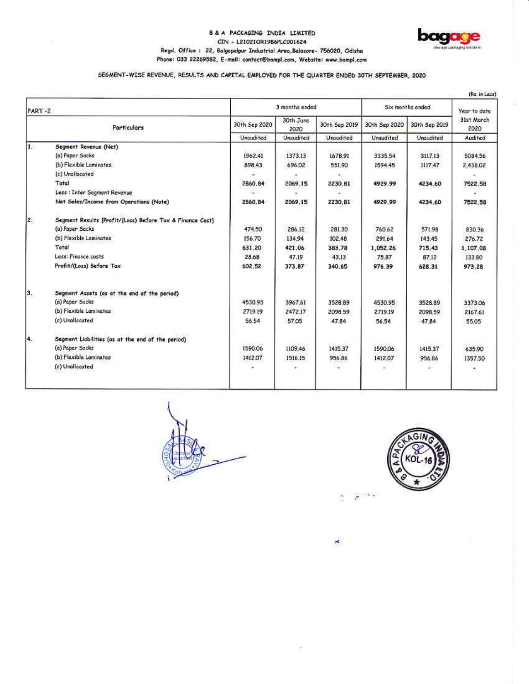### B & A PACKAGING INDIA LIMITED CIN - L21021OR1986PLC001624 Regd. Office: 22, Balgopalpur Industrial Area, Balasore- 756020, Odisha Phone: 033 22269582, E-mail: contact@bampl.com, Website: www.bampl.com



## SEGMENT-WISE REVENUE, RESULTS AND CAPITAL EMPLOYED FOR THE QUARTER ENDED 30TH SEPTEMBER, 2020

| PART-2       |                                                           |                            | 3 months ended                 |                            |                            | Six months ended           |                               |
|--------------|-----------------------------------------------------------|----------------------------|--------------------------------|----------------------------|----------------------------|----------------------------|-------------------------------|
|              | Particulars                                               | 30th Sep 2020<br>Unaudited | 30th June<br>2020<br>Unaudited | 30th Sep 2019<br>Unaudited | 30th Sep 2020<br>Unaudited | 30th Sep 2019<br>Unaudited | 31st March<br>2020<br>Audited |
|              |                                                           |                            |                                |                            |                            |                            |                               |
| $\mathbf{1}$ | Segment Revenue (Net)                                     |                            |                                |                            |                            |                            |                               |
|              | (a) Paper Sacks                                           | 1962.41                    | 1373.13                        | 1678.91                    | 3335.54                    | 3117.13                    | 5084.56                       |
|              | (b) Flexible Laminates                                    | 898.43                     | 696.02                         | 551.90                     | 1594.45                    | 1117.47                    | 2,438.02                      |
|              | (c) Unallocated                                           |                            |                                |                            |                            |                            |                               |
|              | Total                                                     | 2860.84                    | 2069,15                        | 2230.81                    | 4929.99                    | 4234.60                    | 7522.58                       |
|              | Less : Inter Segment Revenue                              |                            |                                |                            |                            |                            |                               |
|              | Net Sales/Income from Operations (Note)                   | 2860.84                    | 2069.15                        | 2230.81                    | 4929.99                    | 4234,60                    | 7522.58                       |
| 2.           | Segment Results [Profit/(Loss) Before Tax & Finance Cost] |                            |                                |                            |                            |                            |                               |
|              | (a) Paper Sacks                                           | 474.50                     | 286.12                         | 281.30                     | 760.62                     | 571.98                     | 830.36                        |
|              | (b) Flexible Laminates                                    | 156.70                     | 134.94                         | 102.48                     | 291.64                     | 143.45                     | 276.72                        |
|              | Total                                                     | 631.20                     | 421.06                         | 383.78                     | 1.052.26                   | 715.43                     | 1,107,08                      |
|              | Less: Finance costs                                       | 28.68                      | 47.19                          | 43.13                      | 75.87                      | 87.12                      | 133.80                        |
|              | Profit/(Loss) Before Tax                                  | 602.52                     | 373.87                         | 340.65                     | 976.39                     | 628.31                     | 973.28                        |
| з.           | Segment Assets (as at the end of the period)              |                            |                                |                            |                            |                            |                               |
|              | (a) Paper Sacks                                           | 4530.95                    | 3967.61                        | 3528.89                    | 4530.95                    | 3528.89                    | 3373.06                       |
|              | (b) Flexible Laminates                                    | 2719.19                    | 2472.17                        | 2098.59                    | 2719.19                    | 2098.59                    | 2167.61                       |
|              | (c) Urallocated                                           | 56.54                      | 57.05                          | 47.84                      | 56.54                      | 47.84                      | 55.05                         |
| 4.           | Segment Liabilities (as at the end of the period)         |                            |                                |                            |                            |                            |                               |
|              | (a) Paper Sacks                                           | 1590.06                    | 1109.46                        | 1415.37                    | 1590.06                    | 1415.37                    | 635.90                        |
|              | (b) Flexible Laminates                                    | 1412.07                    | 1516.15                        | 956.86                     | 1412.07                    | 956.86                     | 1357.50                       |
|              | (c) Unallocated                                           |                            |                                |                            |                            |                            |                               |





 $e^{-i\,t}$ Ť

×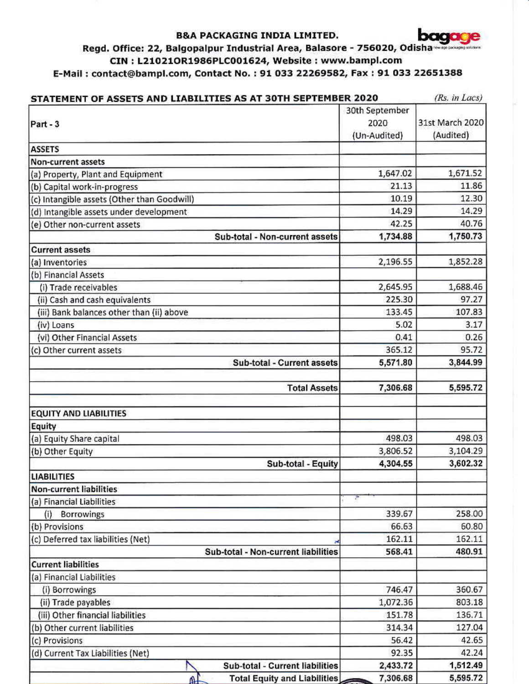## **B&A PACKAGING INDIA LIMITED.**



# Regd. Office: 22, Balgopalpur Industrial Area, Balasore - 756020, Odisha CIN: L21021OR1986PLC001624, Website: www.bampl.com E-Mail: contact@bampl.com, Contact No.: 91 033 22269582, Fax: 91 033 22651388

| STATEMENT OF ASSETS AND LIABILITIES AS AT 30TH SEPTEMBER 2020 |                | (Rs. in Lacs)   |  |
|---------------------------------------------------------------|----------------|-----------------|--|
|                                                               | 30th September |                 |  |
| Part - 3                                                      | 2020           | 31st March 2020 |  |
|                                                               | (Un-Audited)   | (Audited)       |  |
| <b>ASSETS</b>                                                 |                |                 |  |
| Non-current assets                                            |                |                 |  |
| (a) Property, Plant and Equipment                             | 1,647.02       | 1,671.52        |  |
| (b) Capital work-in-progress                                  | 21.13          | 11.86           |  |
| (c) Intangible assets (Other than Goodwill)                   | 10.19          | 12.30           |  |
| (d) Intangible assets under development                       | 14.29          | 14.29           |  |
| (e) Other non-current assets                                  | 42.25          | 40.76           |  |
| Sub-total - Non-current assets                                | 1,734.88       | 1,750.73        |  |
| <b>Current assets</b>                                         |                |                 |  |
| (a) Inventories                                               | 2,196.55       | 1,852.28        |  |
| (b) Financial Assets                                          |                |                 |  |
| (i) Trade receivables                                         | 2,645.95       | 1,688.46        |  |
| (ii) Cash and cash equivalents                                | 225.30         | 97.27           |  |
| (iii) Bank balances other than (ii) above                     | 133.45         | 107.83          |  |
| (iv) Loans                                                    | 5.02           | 3.17            |  |
| (vi) Other Financial Assets                                   | 0.41           | 0.26            |  |
| (c) Other current assets                                      | 365.12         | 95.72           |  |
| Sub-total - Current assets                                    | 5,571.80       | 3,844.99        |  |
|                                                               |                |                 |  |
| <b>Total Assets</b>                                           | 7,306.68       | 5,595.72        |  |
|                                                               |                |                 |  |
| <b>EQUITY AND LIABILITIES</b>                                 |                |                 |  |
| Equity                                                        |                |                 |  |
| (a) Equity Share capital                                      | 498.03         | 498.03          |  |
| (b) Other Equity                                              | 3,806.52       | 3,104.29        |  |
| Sub-total - Equity                                            | 4,304.55       | 3,602.32        |  |
| <b>LIABILITIES</b>                                            |                |                 |  |
| <b>Non-current liabilities</b>                                |                |                 |  |
| (a) Financial Liabilities                                     | æ              |                 |  |
| <b>Borrowings</b><br>(i)                                      | 339.67         | 258.00          |  |
| (b) Provisions                                                | 66.63          | 60.80           |  |
| (c) Deferred tax liabilities (Net)                            | 162.11         | 162.11          |  |
| Sub-total - Non-current liabilities                           | 568.41         | 480.91          |  |
| <b>Current liabilities</b>                                    |                |                 |  |
| (a) Financial Liabilities                                     |                |                 |  |
| (i) Borrowings                                                | 746.47         | 360.67          |  |
| (ii) Trade payables                                           | 1,072.36       | 803.18          |  |
| (iii) Other financial liabilities                             | 151.78         | 136.71          |  |
| (b) Other current liabilities                                 | 314.34         | 127.04          |  |
| (c) Provisions                                                | 56.42          | 42.65           |  |
| (d) Current Tax Liabilities (Net)                             | 92.35          | 42.24           |  |
| Sub-total - Current liabilities                               | 2,433.72       | 1,512.49        |  |
| <b>Total Equity and Liabilities</b>                           | 7,306.68       | 5,595.72        |  |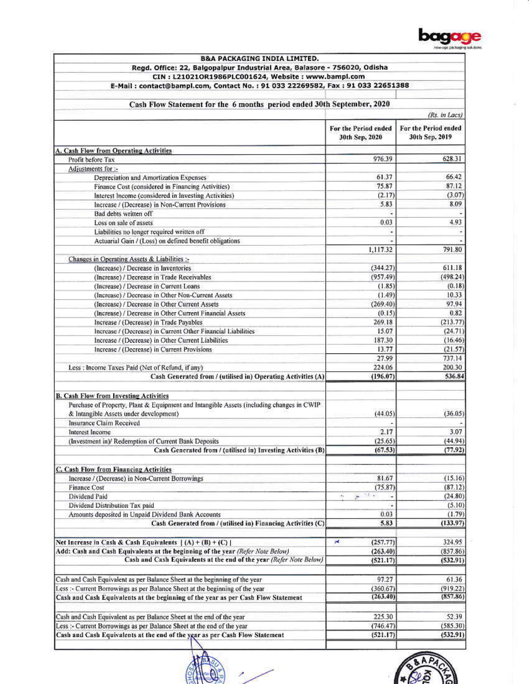

| Regd. Office: 22, Balgopalpur Industrial Area, Balasore - 756020, Odisha<br>CIN: L21021OR1986PLC001624, Website: www.bampl.com                                    |                              |                      |
|-------------------------------------------------------------------------------------------------------------------------------------------------------------------|------------------------------|----------------------|
|                                                                                                                                                                   |                              |                      |
|                                                                                                                                                                   |                              |                      |
| E-Mail: contact@bampl.com, Contact No.: 91 033 22269582, Fax: 91 033 22651388                                                                                     |                              |                      |
|                                                                                                                                                                   |                              |                      |
| Cash Flow Statement for the 6 months period ended 30th September, 2020                                                                                            |                              |                      |
|                                                                                                                                                                   |                              | (Rs. in Lacs)        |
|                                                                                                                                                                   | For the Period ended         | For the Period ended |
|                                                                                                                                                                   | 30th Sep, 2020               | 30th Sep, 2019       |
|                                                                                                                                                                   |                              |                      |
| A. Cash Flow from Operating Activities                                                                                                                            |                              |                      |
| Profit before Tax                                                                                                                                                 | 976.39                       | 628.31               |
| Adjustments for :-                                                                                                                                                |                              |                      |
| Depreciation and Amortization Expenses                                                                                                                            | 61.37                        | 66.42                |
| Finance Cost (considered in Financing Activities)                                                                                                                 | 75.87                        | 87.12                |
| Interest Income (considered in Investing Activities)                                                                                                              | (2.17)                       | (3.07)               |
| Increase / (Decrease) in Non-Current Provisions                                                                                                                   | 5.83                         | 8.09                 |
| Bad debts written off                                                                                                                                             |                              |                      |
| Loss on sale of assets                                                                                                                                            | 0.03                         | 4.93                 |
| Liabilities no longer required written off                                                                                                                        |                              |                      |
| Actuarial Gain / (Loss) on defined benefit obligations                                                                                                            |                              |                      |
|                                                                                                                                                                   | 1,117.32                     | 791.80               |
| Changes in Operating Assets & Liabilities :-                                                                                                                      |                              |                      |
| (Increase) / Decrease in Inventories                                                                                                                              | (344.27)                     | 611.18               |
| (Increase) / Decrease in Trade Receivables                                                                                                                        | (957.49)                     | (498.24)             |
| (Increase) / Decrease in Current Loans                                                                                                                            | (1.85)                       | (0.18)               |
| (Increase) / Decrease in Other Non-Current Assets                                                                                                                 | (1.49)                       | 10.33                |
| (Increase) / Decrease in Other Current Assets                                                                                                                     | (269, 40)                    | 97.94                |
| (Increase) / Decrease in Other Current Financial Assets                                                                                                           | (0.15)                       | 0.82                 |
| Increase / (Decrease) in Trade Payables                                                                                                                           | 269.18                       | (213.77)             |
| Increase / (Decrease) in Current Other Financial Liabilities                                                                                                      | 15.07                        | (24.71)              |
| Increase / (Decrease) in Other Current Liabilities                                                                                                                | 187.30                       | (16.46)              |
| Increase / (Decrease) in Current Provisions                                                                                                                       | 13.77                        | (21.57)              |
|                                                                                                                                                                   | 27.99                        | 737.14               |
| Less : Income Taxes Paid (Net of Refund, if any)                                                                                                                  | 224.06                       | 200.30               |
| Cash Generated from / (utilised in) Operating Activities (A)                                                                                                      | (196.07)                     | 536.84               |
|                                                                                                                                                                   |                              |                      |
| <b>B. Cash Flow from Investing Activities</b>                                                                                                                     |                              |                      |
| Purchase of Property, Plant & Equipment and Intangible Assets (including changes in CWIP                                                                          |                              |                      |
| & Intangible Assets under development)                                                                                                                            | (44.05)                      | (36.05)              |
| <b>Insurance Claim Received</b>                                                                                                                                   |                              |                      |
| Interest Income                                                                                                                                                   | 2.17                         | 3.07                 |
| (Investment in)/ Redemption of Current Bank Deposits                                                                                                              | (25.65)                      | (44.94)              |
| Cash Generated from / (utilised in) Investing Activities (B)                                                                                                      | (67.53)                      | (77.92)              |
|                                                                                                                                                                   |                              |                      |
| C. Cash Flow from Financing Activities                                                                                                                            |                              |                      |
| Increase / (Decrease) in Non-Current Borrowings                                                                                                                   | 81.67                        | (15.16)              |
| <b>Finance Cost</b>                                                                                                                                               | (75.87)                      | (87.12)              |
| Dividend Paid                                                                                                                                                     | 235.2<br>$\tau_{\rm r}$<br>÷ | (24.80)              |
| Dividend Distribution Tax paid                                                                                                                                    |                              | (5.10)               |
| Amounts deposited in Unpaid Dividend Bank Accounts                                                                                                                | 0.03                         | (1.79)               |
| Cash Generated from / (utilised in) Financing Activities (C)                                                                                                      | 5.83                         | (133.97)             |
|                                                                                                                                                                   |                              |                      |
| Net Increase in Cash & Cash Equivalents $\{(A) + (B) + (C) \}$                                                                                                    | ×<br>(257.77)                | 324.95               |
| Add: Cash and Cash Equivalents at the beginning of the year (Refer Note Below)                                                                                    | (263.40)                     | (857.86)             |
| Cash and Cash Equivalents at the end of the year (Refer Note Below)                                                                                               | (521.17)                     | (532.91)             |
|                                                                                                                                                                   |                              |                      |
| Cash and Cash Equivalent as per Balance Sheet at the beginning of the year                                                                                        | 97.27                        | 61.36                |
|                                                                                                                                                                   | (360.67)                     |                      |
| Less :- Current Borrowings as per Balance Sheet at the beginning of the year<br>Cash and Cash Equivalents at the beginning of the year as per Cash Flow Statement | (263.40)                     | (919.22)<br>(857.86) |
|                                                                                                                                                                   |                              |                      |
|                                                                                                                                                                   |                              |                      |
| Cash and Cash Equivalent as per Balance Sheet at the end of the year                                                                                              | 225.30                       | 52.39                |
| Less :- Current Borrowings as per Balance Sheet at the end of the year                                                                                            | (746.47)                     | (585.30)             |
| Cash and Cash Equivalents at the end of the year as per Cash Flow Statement                                                                                       | (521.17)                     | (532.91)             |